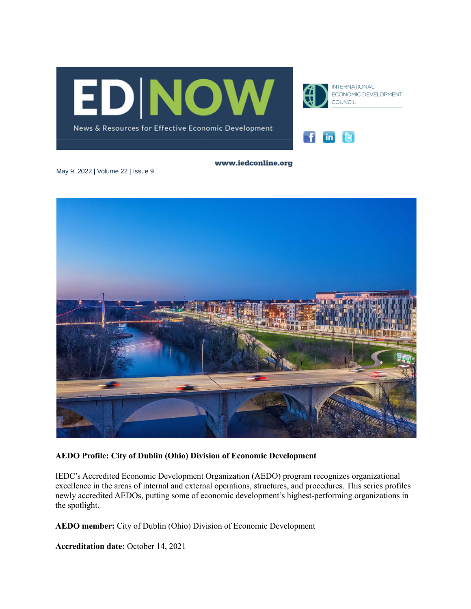





www.iedconline.org

May 9, 2022 | Volume 22 | Issue 9



## **AEDO Profile: City of Dublin (Ohio) Division of Economic Development**

IEDC's Accredited Economic Development Organization (AEDO) program recognizes organizational excellence in the areas of internal and external operations, structures, and procedures. This series profiles newly accredited AEDOs, putting some of economic development's highest-performing organizations in the spotlight.

**AEDO member:** City of Dublin (Ohio) Division of Economic Development

**Accreditation date:** October 14, 2021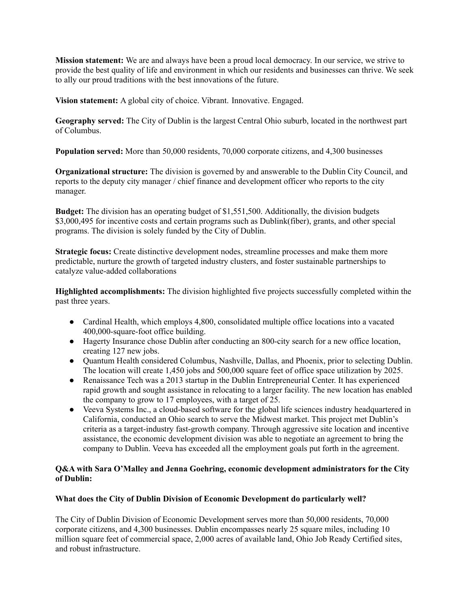**Mission statement:** We are and always have been a proud local democracy. In our service, we strive to provide the best quality of life and environment in which our residents and businesses can thrive. We seek to ally our proud traditions with the best innovations of the future.

**Vision statement:** A global city of choice. Vibrant. Innovative. Engaged.

**Geography served:** The City of Dublin is the largest Central Ohio suburb, located in the northwest part of Columbus.

**Population served:** More than 50,000 residents, 70,000 corporate citizens, and 4,300 businesses

**Organizational structure:** The division is governed by and answerable to the Dublin City Council, and reports to the deputy city manager / chief finance and development officer who reports to the city manager.

**Budget:** The division has an operating budget of \$1,551,500. Additionally, the division budgets \$3,000,495 for incentive costs and certain programs such as Dublink(fiber), grants, and other special programs. The division is solely funded by the City of Dublin.

**Strategic focus:** Create distinctive development nodes, streamline processes and make them more predictable, nurture the growth of targeted industry clusters, and foster sustainable partnerships to catalyze value-added collaborations

**Highlighted accomplishments:** The division highlighted five projects successfully completed within the past three years.

- Cardinal Health, which employs 4,800, consolidated multiple office locations into a vacated 400,000-square-foot office building.
- Hagerty Insurance chose Dublin after conducting an 800-city search for a new office location, creating 127 new jobs.
- Quantum Health considered Columbus, Nashville, Dallas, and Phoenix, prior to selecting Dublin. The location will create 1,450 jobs and 500,000 square feet of office space utilization by 2025.
- Renaissance Tech was a 2013 startup in the Dublin Entrepreneurial Center. It has experienced rapid growth and sought assistance in relocating to a larger facility. The new location has enabled the company to grow to 17 employees, with a target of 25.
- Veeva Systems Inc., a cloud-based software for the global life sciences industry headquartered in California, conducted an Ohio search to serve the Midwest market. This project met Dublin's criteria as a target-industry fast-growth company. Through aggressive site location and incentive assistance, the economic development division was able to negotiate an agreement to bring the company to Dublin. Veeva has exceeded all the employment goals put forth in the agreement.

# **Q&A with Sara O'Malley and Jenna Goehring, economic development administrators for the City of Dublin:**

# **What does the City of Dublin Division of Economic Development do particularly well?**

The City of Dublin Division of Economic Development serves more than 50,000 residents, 70,000 corporate citizens, and 4,300 businesses. Dublin encompasses nearly 25 square miles, including 10 million square feet of commercial space, 2,000 acres of available land, Ohio Job Ready Certified sites, and robust infrastructure.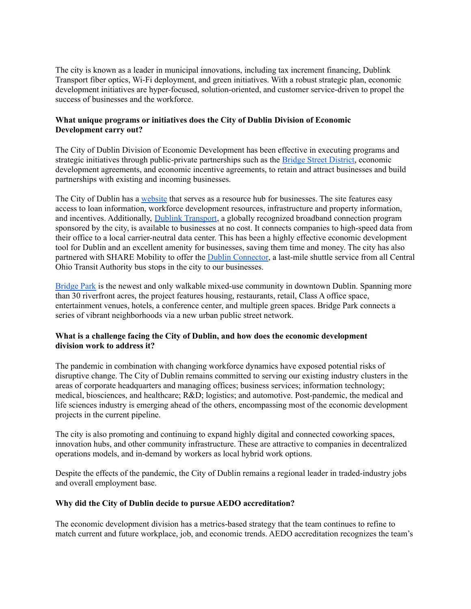The city is known as a leader in municipal innovations, including tax increment financing, Dublink Transport fiber optics, Wi-Fi deployment, and green initiatives. With a robust strategic plan, economic development initiatives are hyper-focused, solution-oriented, and customer service-driven to propel the success of businesses and the workforce.

## **What unique programs or initiatives does the City of Dublin Division of Economic Development carry out?**

The City of Dublin Division of Economic Development has been effective in executing programs and strategic initiatives through public-private partnerships such as the Bridge Street [District,](http://bridgestreet.dublinohiousa.gov/) economic development agreements, and economic incentive agreements, to retain and attract businesses and build partnerships with existing and incoming businesses.

The City of Dublin has a [website](https://www.econdev.dublinohiousa.gov/) that serves as a resource hub for businesses. The site features easy access to loan information, workforce development resources, infrastructure and property information, and incentives. Additionally, Dublink [Transport](https://www.econdev.dublinohiousa.gov/dublink-broadband), a globally recognized broadband connection program sponsored by the city, is available to businesses at no cost. It connects companies to high-speed data from their office to a local carrier-neutral data center. This has been a highly effective economic development tool for Dublin and an excellent amenity for businesses, saving them time and money. The city has also partnered with SHARE Mobility to offer the Dublin [Connector,](https://sharemobility.com/dublin/) a last-mile shuttle service from all Central Ohio Transit Authority bus stops in the city to our businesses.

[Bridge](https://www.bridgepark.com/) Park is the newest and only walkable mixed-use community in downtown Dublin. Spanning more than 30 riverfront acres, the project features housing, restaurants, retail, Class A office space, entertainment venues, hotels, a conference center, and multiple green spaces. Bridge Park connects a series of vibrant neighborhoods via a new urban public street network.

# **What is a challenge facing the City of Dublin, and how does the economic development division work to address it?**

The pandemic in combination with changing workforce dynamics have exposed potential risks of disruptive change. The City of Dublin remains committed to serving our existing industry clusters in the areas of corporate headquarters and managing offices; business services; information technology; medical, biosciences, and healthcare; R&D; logistics; and automotive. Post-pandemic, the medical and life sciences industry is emerging ahead of the others, encompassing most of the economic development projects in the current pipeline.

The city is also promoting and continuing to expand highly digital and connected coworking spaces, innovation hubs, and other community infrastructure. These are attractive to companies in decentralized operations models, and in-demand by workers as local hybrid work options.

Despite the effects of the pandemic, the City of Dublin remains a regional leader in traded-industry jobs and overall employment base.

## **Why did the City of Dublin decide to pursue AEDO accreditation?**

The economic development division has a metrics-based strategy that the team continues to refine to match current and future workplace, job, and economic trends. AEDO accreditation recognizes the team's